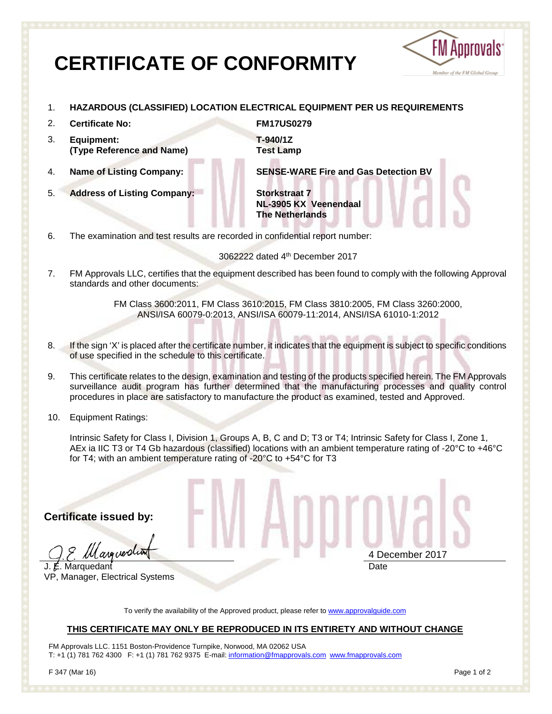# **CERTIFICATE OF CONFORMITY**



- 1. **HAZARDOUS (CLASSIFIED) LOCATION ELECTRICAL EQUIPMENT PER US REQUIREMENTS**
- 2. **Certificate No: FM17US0279**
- 3. **Equipment: (Type Reference and Name)**

5. **Address of Listing Company: Storkstraat 7**

**T-940/1Z Test Lamp**

4. **Name of Listing Company: SENSE-WARE Fire and Gas Detection BV**

**NL-3905 KX Veenendaal The Netherlands**

6. The examination and test results are recorded in confidential report number:

3062222 dated 4th December 2017

7. FM Approvals LLC, certifies that the equipment described has been found to comply with the following Approval standards and other documents:

> FM Class 3600:2011, FM Class 3610:2015, FM Class 3810:2005, FM Class 3260:2000, ANSI/ISA 60079-0:2013, ANSI/ISA 60079-11:2014, ANSI/ISA 61010-1:2012

- 8. If the sign 'X' is placed after the certificate number, it indicates that the equipment is subject to specific conditions of use specified in the schedule to this certificate.
- 9. This certificate relates to the design, examination and testing of the products specified herein. The FM Approvals surveillance audit program has further determined that the manufacturing processes and quality control procedures in place are satisfactory to manufacture the product as examined, tested and Approved.
- 10. Equipment Ratings:

Intrinsic Safety for Class I, Division 1, Groups A, B, C and D; T3 or T4; Intrinsic Safety for Class I, Zone 1, AEx ia IIC T3 or T4 Gb hazardous (classified) locations with an ambient temperature rating of -20°C to +46°C for T4; with an ambient temperature rating of -20°C to +54°C for T3

**Certificate issued by:**

margolia

J. E. Marquedant VP, Manager, Electrical Systems

4 December 2017 **Date** 

To verify the availability of the Approved product, please refer to [www.approvalguide.com](http://www.approvalguide.com/)

## **THIS CERTIFICATE MAY ONLY BE REPRODUCED IN ITS ENTIRETY AND WITHOUT CHANGE**

FM Approvals LLC. 1151 Boston-Providence Turnpike, Norwood, MA 02062 USA T: +1 (1) 781 762 4300 F: +1 (1) 781 762 9375 E-mail[: information@fmapprovals.com](mailto:information@fmapprovals.com) [www.fmapprovals.com](http://www.fmapprovals.com/)